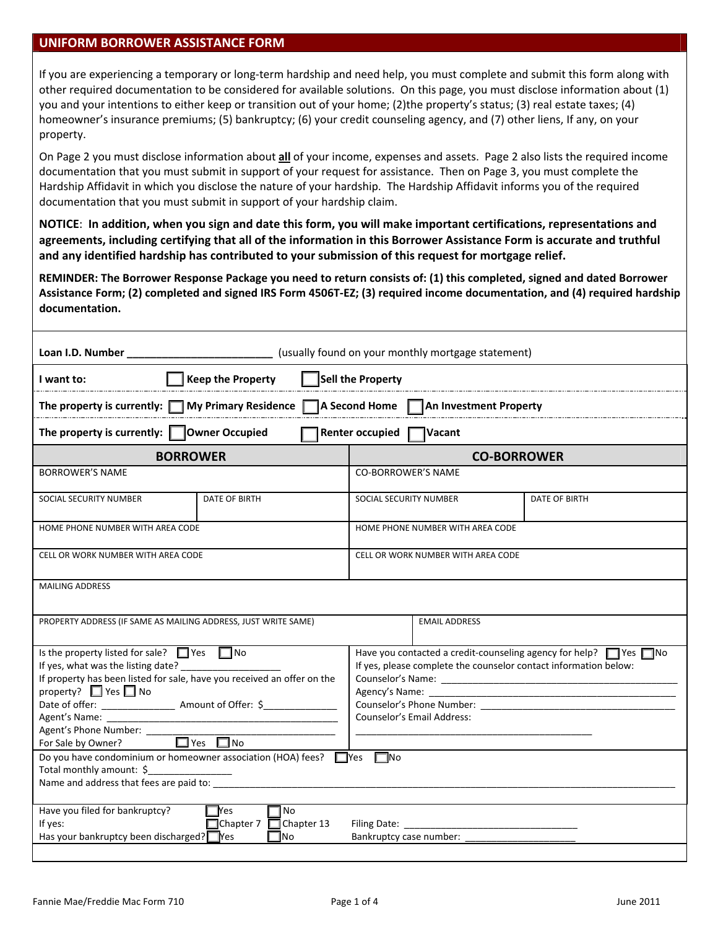## **UNIFORM BORROWER ASSISTANCE FORM**

If you are experiencing a temporary or long‐term hardship and need help, you must complete and submit this form along with other required documentation to be considered for available solutions. On this page, you must disclose information about (1) you and your intentions to either keep or transition out of your home; (2)the property's status; (3) real estate taxes; (4) homeowner's insurance premiums; (5) bankruptcy; (6) your credit counseling agency, and (7) other liens, If any, on your property.

On Page 2 you must disclose information about **all** of your income, expenses and assets. Page 2 also lists the required income documentation that you must submit in support of your request for assistance. Then on Page 3, you must complete the Hardship Affidavit in which you disclose the nature of your hardship. The Hardship Affidavit informs you of the required documentation that you must submit in support of your hardship claim.

NOTICE: In addition, when you sign and date this form, you will make important certifications, representations and agreements, including certifying that all of the information in this Borrower Assistance Form is accurate and truthful **and any identified hardship has contributed to your submission of this request for mortgage relief.**

REMINDER: The Borrower Response Package you need to return consists of: (1) this completed, signed and dated Borrower Assistance Form; (2) completed and signed IRS Form 4506T-EZ; (3) required income documentation, and (4) required hardship **documentation.**

| Sell the Property<br><b>Keep the Property</b><br>I want to:                                                                                                                                                                                                                                                                                                                                                 |                      |                                                                                                                                                                                                                                                                                                                                                                                                                  |  |               |  |  |
|-------------------------------------------------------------------------------------------------------------------------------------------------------------------------------------------------------------------------------------------------------------------------------------------------------------------------------------------------------------------------------------------------------------|----------------------|------------------------------------------------------------------------------------------------------------------------------------------------------------------------------------------------------------------------------------------------------------------------------------------------------------------------------------------------------------------------------------------------------------------|--|---------------|--|--|
| A Second Home   An Investment Property<br>The property is currently: $\Box$ My Primary Residence $\Box$                                                                                                                                                                                                                                                                                                     |                      |                                                                                                                                                                                                                                                                                                                                                                                                                  |  |               |  |  |
| The property is currently: $\Box$ Owner Occupied<br><b>Renter occupied</b><br>Vacant                                                                                                                                                                                                                                                                                                                        |                      |                                                                                                                                                                                                                                                                                                                                                                                                                  |  |               |  |  |
| <b>BORROWER</b>                                                                                                                                                                                                                                                                                                                                                                                             |                      | <b>CO-BORROWER</b>                                                                                                                                                                                                                                                                                                                                                                                               |  |               |  |  |
| <b>BORROWER'S NAME</b>                                                                                                                                                                                                                                                                                                                                                                                      |                      | <b>CO-BORROWER'S NAME</b>                                                                                                                                                                                                                                                                                                                                                                                        |  |               |  |  |
| SOCIAL SECURITY NUMBER                                                                                                                                                                                                                                                                                                                                                                                      | DATE OF BIRTH        | SOCIAL SECURITY NUMBER                                                                                                                                                                                                                                                                                                                                                                                           |  | DATE OF BIRTH |  |  |
| HOME PHONE NUMBER WITH AREA CODE                                                                                                                                                                                                                                                                                                                                                                            |                      | HOME PHONE NUMBER WITH AREA CODE                                                                                                                                                                                                                                                                                                                                                                                 |  |               |  |  |
| CELL OR WORK NUMBER WITH AREA CODE                                                                                                                                                                                                                                                                                                                                                                          |                      | CELL OR WORK NUMBER WITH AREA CODE                                                                                                                                                                                                                                                                                                                                                                               |  |               |  |  |
| <b>MAILING ADDRESS</b>                                                                                                                                                                                                                                                                                                                                                                                      |                      |                                                                                                                                                                                                                                                                                                                                                                                                                  |  |               |  |  |
| PROPERTY ADDRESS (IF SAME AS MAILING ADDRESS, JUST WRITE SAME)                                                                                                                                                                                                                                                                                                                                              | <b>EMAIL ADDRESS</b> |                                                                                                                                                                                                                                                                                                                                                                                                                  |  |               |  |  |
| Is the property listed for sale? $\Box$ Yes $\Box$ No<br>If yes, what was the listing date? ______________<br>If property has been listed for sale, have you received an offer on the<br>property? $\Box$ Yes $\Box$ No<br>Agent's Phone Number: ______<br>$\Box$ Yes $\Box$ No<br>For Sale by Owner?                                                                                                       |                      | Have you contacted a credit-counseling agency for help? $\Box$ Yes $\Box$ No<br>If yes, please complete the counselor contact information below:<br>Counselor's Phone Number: North States and States and States and States and States and States and States and States and States and States and States and States and States and States and States and States and States and Sta<br>Counselor's Email Address: |  |               |  |  |
| Do you have condominium or homeowner association (HOA) fees? $\Box$ Yes $\Box$ No<br>Total monthly amount: \$<br>Name and address that fees are paid to:                                                                                                                                                                                                                                                    |                      |                                                                                                                                                                                                                                                                                                                                                                                                                  |  |               |  |  |
| Have you filed for bankruptcy?<br>- Yes<br>No<br>□Chapter 7 □ Chapter 13<br>If yes:<br>Filing Date: The Contract of the Contract of the Contract of the Contract of the Contract of the Contract of the Contract of the Contract of the Contract of the Contract of the Contract of the Contract of the Contract of t<br>Has your bankruptcy been discharged? Pes<br>Bankruptcy case number:<br><b>I</b> No |                      |                                                                                                                                                                                                                                                                                                                                                                                                                  |  |               |  |  |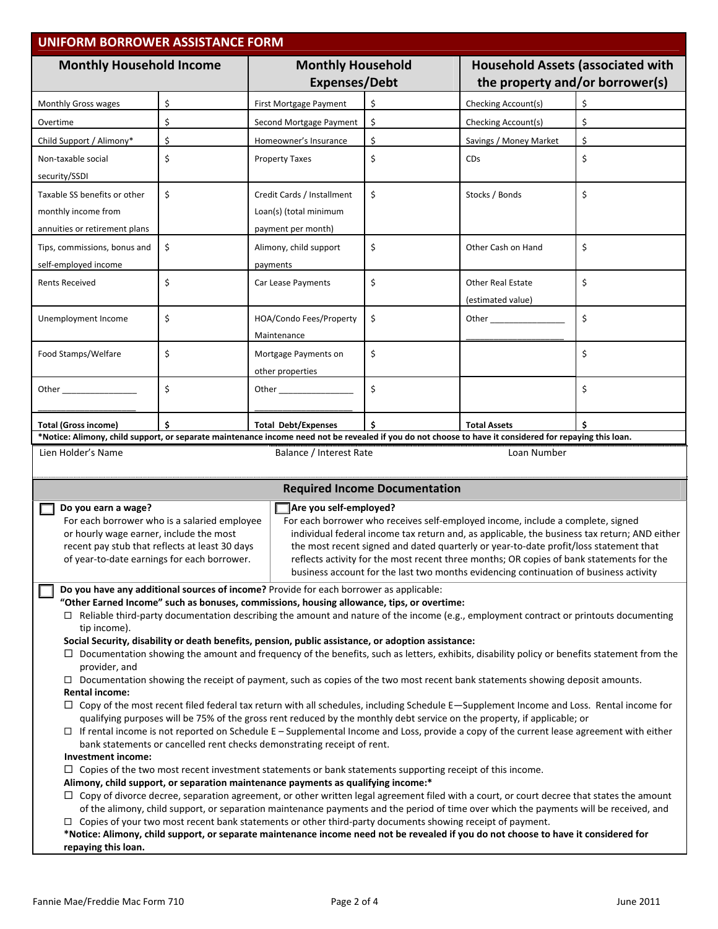| <b>UNIFORM BORROWER ASSISTANCE FORM</b>                                                                                                                                                                                                             |    |                                                                                                                                                                                                                                                                                       |                                                                                                                                                                                       |                                                                             |                                                                                                                                                                                                                                                                             |  |  |  |  |  |  |
|-----------------------------------------------------------------------------------------------------------------------------------------------------------------------------------------------------------------------------------------------------|----|---------------------------------------------------------------------------------------------------------------------------------------------------------------------------------------------------------------------------------------------------------------------------------------|---------------------------------------------------------------------------------------------------------------------------------------------------------------------------------------|-----------------------------------------------------------------------------|-----------------------------------------------------------------------------------------------------------------------------------------------------------------------------------------------------------------------------------------------------------------------------|--|--|--|--|--|--|
| <b>Monthly Household Income</b>                                                                                                                                                                                                                     |    | <b>Monthly Household</b><br><b>Expenses/Debt</b>                                                                                                                                                                                                                                      |                                                                                                                                                                                       | <b>Household Assets (associated with</b><br>the property and/or borrower(s) |                                                                                                                                                                                                                                                                             |  |  |  |  |  |  |
| Monthly Gross wages                                                                                                                                                                                                                                 | \$ | First Mortgage Payment                                                                                                                                                                                                                                                                | \$                                                                                                                                                                                    | Checking Account(s)                                                         | \$                                                                                                                                                                                                                                                                          |  |  |  |  |  |  |
| Overtime                                                                                                                                                                                                                                            | \$ | Second Mortgage Payment                                                                                                                                                                                                                                                               | \$                                                                                                                                                                                    | Checking Account(s)                                                         | \$                                                                                                                                                                                                                                                                          |  |  |  |  |  |  |
| Child Support / Alimony*                                                                                                                                                                                                                            | \$ | Homeowner's Insurance                                                                                                                                                                                                                                                                 | \$                                                                                                                                                                                    | Savings / Money Market                                                      | \$                                                                                                                                                                                                                                                                          |  |  |  |  |  |  |
| Non-taxable social                                                                                                                                                                                                                                  | \$ | <b>Property Taxes</b>                                                                                                                                                                                                                                                                 | \$                                                                                                                                                                                    | <b>CD<sub>S</sub></b>                                                       | \$                                                                                                                                                                                                                                                                          |  |  |  |  |  |  |
| security/SSDI                                                                                                                                                                                                                                       |    |                                                                                                                                                                                                                                                                                       |                                                                                                                                                                                       |                                                                             |                                                                                                                                                                                                                                                                             |  |  |  |  |  |  |
| Taxable SS benefits or other                                                                                                                                                                                                                        | \$ | Credit Cards / Installment                                                                                                                                                                                                                                                            | \$                                                                                                                                                                                    | Stocks / Bonds                                                              | \$                                                                                                                                                                                                                                                                          |  |  |  |  |  |  |
| monthly income from                                                                                                                                                                                                                                 |    | Loan(s) (total minimum                                                                                                                                                                                                                                                                |                                                                                                                                                                                       |                                                                             |                                                                                                                                                                                                                                                                             |  |  |  |  |  |  |
| annuities or retirement plans                                                                                                                                                                                                                       |    | payment per month)                                                                                                                                                                                                                                                                    |                                                                                                                                                                                       |                                                                             |                                                                                                                                                                                                                                                                             |  |  |  |  |  |  |
| Tips, commissions, bonus and                                                                                                                                                                                                                        | \$ | Alimony, child support                                                                                                                                                                                                                                                                | \$                                                                                                                                                                                    | Other Cash on Hand                                                          | \$                                                                                                                                                                                                                                                                          |  |  |  |  |  |  |
| self-employed income                                                                                                                                                                                                                                |    | payments                                                                                                                                                                                                                                                                              |                                                                                                                                                                                       |                                                                             |                                                                                                                                                                                                                                                                             |  |  |  |  |  |  |
| <b>Rents Received</b>                                                                                                                                                                                                                               | \$ | Car Lease Payments                                                                                                                                                                                                                                                                    | \$                                                                                                                                                                                    | <b>Other Real Estate</b>                                                    | \$                                                                                                                                                                                                                                                                          |  |  |  |  |  |  |
|                                                                                                                                                                                                                                                     |    |                                                                                                                                                                                                                                                                                       |                                                                                                                                                                                       | (estimated value)                                                           |                                                                                                                                                                                                                                                                             |  |  |  |  |  |  |
| Unemployment Income                                                                                                                                                                                                                                 | \$ | HOA/Condo Fees/Property                                                                                                                                                                                                                                                               | \$                                                                                                                                                                                    |                                                                             | \$                                                                                                                                                                                                                                                                          |  |  |  |  |  |  |
|                                                                                                                                                                                                                                                     |    | Maintenance                                                                                                                                                                                                                                                                           |                                                                                                                                                                                       |                                                                             |                                                                                                                                                                                                                                                                             |  |  |  |  |  |  |
| Food Stamps/Welfare                                                                                                                                                                                                                                 | \$ | Mortgage Payments on                                                                                                                                                                                                                                                                  | \$                                                                                                                                                                                    |                                                                             | \$                                                                                                                                                                                                                                                                          |  |  |  |  |  |  |
|                                                                                                                                                                                                                                                     |    | other properties                                                                                                                                                                                                                                                                      |                                                                                                                                                                                       |                                                                             |                                                                                                                                                                                                                                                                             |  |  |  |  |  |  |
|                                                                                                                                                                                                                                                     | \$ | Other                                                                                                                                                                                                                                                                                 | \$                                                                                                                                                                                    |                                                                             | \$                                                                                                                                                                                                                                                                          |  |  |  |  |  |  |
|                                                                                                                                                                                                                                                     |    |                                                                                                                                                                                                                                                                                       |                                                                                                                                                                                       |                                                                             |                                                                                                                                                                                                                                                                             |  |  |  |  |  |  |
| Total (Gross income)                                                                                                                                                                                                                                | Ś  | <b>Total Debt/Expenses</b>                                                                                                                                                                                                                                                            | \$                                                                                                                                                                                    | <b>Total Assets</b>                                                         |                                                                                                                                                                                                                                                                             |  |  |  |  |  |  |
| *Notice: Alimony, child support, or separate maintenance income need not be revealed if you do not choose to have it considered for repaying this loan.<br>Lien Holder's Name<br>Balance / Interest Rate<br>Loan Number                             |    |                                                                                                                                                                                                                                                                                       |                                                                                                                                                                                       |                                                                             |                                                                                                                                                                                                                                                                             |  |  |  |  |  |  |
|                                                                                                                                                                                                                                                     |    |                                                                                                                                                                                                                                                                                       |                                                                                                                                                                                       |                                                                             |                                                                                                                                                                                                                                                                             |  |  |  |  |  |  |
|                                                                                                                                                                                                                                                     |    |                                                                                                                                                                                                                                                                                       | <b>Required Income Documentation</b>                                                                                                                                                  |                                                                             |                                                                                                                                                                                                                                                                             |  |  |  |  |  |  |
| Do you earn a wage?                                                                                                                                                                                                                                 |    | Are you self-employed?                                                                                                                                                                                                                                                                |                                                                                                                                                                                       |                                                                             |                                                                                                                                                                                                                                                                             |  |  |  |  |  |  |
| For each borrower who receives self-employed income, include a complete, signed<br>For each borrower who is a salaried employee<br>or hourly wage earner, include the most                                                                          |    |                                                                                                                                                                                                                                                                                       |                                                                                                                                                                                       |                                                                             |                                                                                                                                                                                                                                                                             |  |  |  |  |  |  |
| recent pay stub that reflects at least 30 days                                                                                                                                                                                                      |    |                                                                                                                                                                                                                                                                                       | individual federal income tax return and, as applicable, the business tax return; AND either<br>the most recent signed and dated quarterly or year-to-date profit/loss statement that |                                                                             |                                                                                                                                                                                                                                                                             |  |  |  |  |  |  |
| reflects activity for the most recent three months; OR copies of bank statements for the<br>of year-to-date earnings for each borrower.                                                                                                             |    |                                                                                                                                                                                                                                                                                       |                                                                                                                                                                                       |                                                                             |                                                                                                                                                                                                                                                                             |  |  |  |  |  |  |
| business account for the last two months evidencing continuation of business activity                                                                                                                                                               |    |                                                                                                                                                                                                                                                                                       |                                                                                                                                                                                       |                                                                             |                                                                                                                                                                                                                                                                             |  |  |  |  |  |  |
| Do you have any additional sources of income? Provide for each borrower as applicable:<br>"Other Earned Income" such as bonuses, commissions, housing allowance, tips, or overtime:                                                                 |    |                                                                                                                                                                                                                                                                                       |                                                                                                                                                                                       |                                                                             |                                                                                                                                                                                                                                                                             |  |  |  |  |  |  |
| $\Box$ Reliable third-party documentation describing the amount and nature of the income (e.g., employment contract or printouts documenting                                                                                                        |    |                                                                                                                                                                                                                                                                                       |                                                                                                                                                                                       |                                                                             |                                                                                                                                                                                                                                                                             |  |  |  |  |  |  |
| tip income).                                                                                                                                                                                                                                        |    |                                                                                                                                                                                                                                                                                       |                                                                                                                                                                                       |                                                                             |                                                                                                                                                                                                                                                                             |  |  |  |  |  |  |
| Social Security, disability or death benefits, pension, public assistance, or adoption assistance:<br>□ Documentation showing the amount and frequency of the benefits, such as letters, exhibits, disability policy or benefits statement from the |    |                                                                                                                                                                                                                                                                                       |                                                                                                                                                                                       |                                                                             |                                                                                                                                                                                                                                                                             |  |  |  |  |  |  |
| provider, and                                                                                                                                                                                                                                       |    |                                                                                                                                                                                                                                                                                       |                                                                                                                                                                                       |                                                                             |                                                                                                                                                                                                                                                                             |  |  |  |  |  |  |
| $\Box$ Documentation showing the receipt of payment, such as copies of the two most recent bank statements showing deposit amounts.<br><b>Rental income:</b>                                                                                        |    |                                                                                                                                                                                                                                                                                       |                                                                                                                                                                                       |                                                                             |                                                                                                                                                                                                                                                                             |  |  |  |  |  |  |
| $\Box$ Copy of the most recent filed federal tax return with all schedules, including Schedule E-Supplement Income and Loss. Rental income for                                                                                                      |    |                                                                                                                                                                                                                                                                                       |                                                                                                                                                                                       |                                                                             |                                                                                                                                                                                                                                                                             |  |  |  |  |  |  |
|                                                                                                                                                                                                                                                     |    |                                                                                                                                                                                                                                                                                       |                                                                                                                                                                                       |                                                                             | qualifying purposes will be 75% of the gross rent reduced by the monthly debt service on the property, if applicable; or<br>$\Box$ If rental income is not reported on Schedule E – Supplemental Income and Loss, provide a copy of the current lease agreement with either |  |  |  |  |  |  |
|                                                                                                                                                                                                                                                     |    |                                                                                                                                                                                                                                                                                       |                                                                                                                                                                                       |                                                                             |                                                                                                                                                                                                                                                                             |  |  |  |  |  |  |
|                                                                                                                                                                                                                                                     |    |                                                                                                                                                                                                                                                                                       |                                                                                                                                                                                       |                                                                             |                                                                                                                                                                                                                                                                             |  |  |  |  |  |  |
| Investment income:                                                                                                                                                                                                                                  |    | bank statements or cancelled rent checks demonstrating receipt of rent.                                                                                                                                                                                                               |                                                                                                                                                                                       |                                                                             |                                                                                                                                                                                                                                                                             |  |  |  |  |  |  |
|                                                                                                                                                                                                                                                     |    | $\Box$ Copies of the two most recent investment statements or bank statements supporting receipt of this income.                                                                                                                                                                      |                                                                                                                                                                                       |                                                                             |                                                                                                                                                                                                                                                                             |  |  |  |  |  |  |
|                                                                                                                                                                                                                                                     |    | Alimony, child support, or separation maintenance payments as qualifying income:*                                                                                                                                                                                                     |                                                                                                                                                                                       |                                                                             |                                                                                                                                                                                                                                                                             |  |  |  |  |  |  |
|                                                                                                                                                                                                                                                     |    | □ Copy of divorce decree, separation agreement, or other written legal agreement filed with a court, or court decree that states the amount<br>of the alimony, child support, or separation maintenance payments and the period of time over which the payments will be received, and |                                                                                                                                                                                       |                                                                             |                                                                                                                                                                                                                                                                             |  |  |  |  |  |  |
|                                                                                                                                                                                                                                                     |    | $\Box$ Copies of your two most recent bank statements or other third-party documents showing receipt of payment.<br>*Notice: Alimony, child support, or separate maintenance income need not be revealed if you do not choose to have it considered for                               |                                                                                                                                                                                       |                                                                             |                                                                                                                                                                                                                                                                             |  |  |  |  |  |  |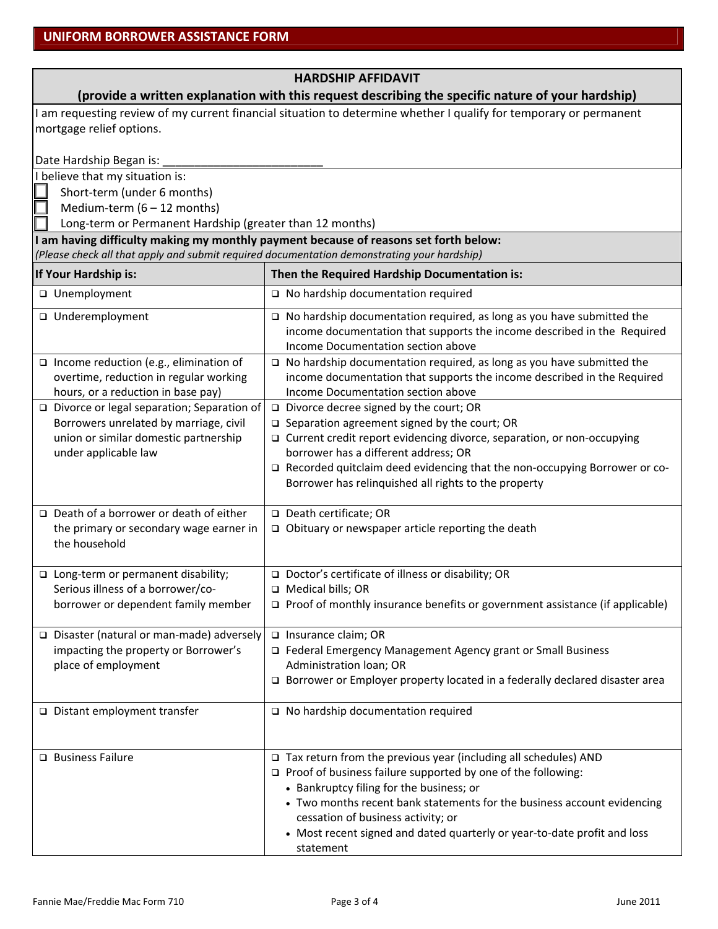| <b>HARDSHIP AFFIDAVIT</b>                                                                                                                                                           |                                                                                                                                                                                               |  |  |  |  |
|-------------------------------------------------------------------------------------------------------------------------------------------------------------------------------------|-----------------------------------------------------------------------------------------------------------------------------------------------------------------------------------------------|--|--|--|--|
| (provide a written explanation with this request describing the specific nature of your hardship)                                                                                   |                                                                                                                                                                                               |  |  |  |  |
| I am requesting review of my current financial situation to determine whether I qualify for temporary or permanent<br>mortgage relief options.                                      |                                                                                                                                                                                               |  |  |  |  |
| Date Hardship Began is:                                                                                                                                                             |                                                                                                                                                                                               |  |  |  |  |
| I believe that my situation is:<br>Short-term (under 6 months)                                                                                                                      |                                                                                                                                                                                               |  |  |  |  |
| Medium-term $(6 - 12$ months)                                                                                                                                                       |                                                                                                                                                                                               |  |  |  |  |
| Long-term or Permanent Hardship (greater than 12 months)                                                                                                                            |                                                                                                                                                                                               |  |  |  |  |
| I am having difficulty making my monthly payment because of reasons set forth below:<br>(Please check all that apply and submit required documentation demonstrating your hardship) |                                                                                                                                                                                               |  |  |  |  |
| If Your Hardship is:                                                                                                                                                                | Then the Required Hardship Documentation is:                                                                                                                                                  |  |  |  |  |
| □ Unemployment                                                                                                                                                                      | $\Box$ No hardship documentation required                                                                                                                                                     |  |  |  |  |
| □ Underemployment                                                                                                                                                                   | $\Box$ No hardship documentation required, as long as you have submitted the<br>income documentation that supports the income described in the Required<br>Income Documentation section above |  |  |  |  |
| $\Box$ Income reduction (e.g., elimination of<br>overtime, reduction in regular working<br>hours, or a reduction in base pay)                                                       | □ No hardship documentation required, as long as you have submitted the<br>income documentation that supports the income described in the Required<br>Income Documentation section above      |  |  |  |  |
| $\Box$ Divorce or legal separation; Separation of                                                                                                                                   | $\Box$ Divorce decree signed by the court; OR                                                                                                                                                 |  |  |  |  |
| Borrowers unrelated by marriage, civil<br>union or similar domestic partnership                                                                                                     | $\square$ Separation agreement signed by the court; OR<br>□ Current credit report evidencing divorce, separation, or non-occupying                                                            |  |  |  |  |
| under applicable law                                                                                                                                                                | borrower has a different address; OR                                                                                                                                                          |  |  |  |  |
|                                                                                                                                                                                     | □ Recorded quitclaim deed evidencing that the non-occupying Borrower or co-<br>Borrower has relinquished all rights to the property                                                           |  |  |  |  |
| $\Box$ Death of a borrower or death of either                                                                                                                                       | □ Death certificate; OR                                                                                                                                                                       |  |  |  |  |
| the primary or secondary wage earner in<br>the household                                                                                                                            | □ Obituary or newspaper article reporting the death                                                                                                                                           |  |  |  |  |
| □ Long-term or permanent disability;                                                                                                                                                | □ Doctor's certificate of illness or disability; OR                                                                                                                                           |  |  |  |  |
| Serious illness of a borrower/co-                                                                                                                                                   | $\Box$ Medical bills: OR                                                                                                                                                                      |  |  |  |  |
| borrower or dependent family member                                                                                                                                                 | □ Proof of monthly insurance benefits or government assistance (if applicable)                                                                                                                |  |  |  |  |
| □ Disaster (natural or man-made) adversely                                                                                                                                          | □ Insurance claim; OR                                                                                                                                                                         |  |  |  |  |
| impacting the property or Borrower's                                                                                                                                                | Federal Emergency Management Agency grant or Small Business                                                                                                                                   |  |  |  |  |
| place of employment                                                                                                                                                                 | Administration loan; OR                                                                                                                                                                       |  |  |  |  |
|                                                                                                                                                                                     | □ Borrower or Employer property located in a federally declared disaster area                                                                                                                 |  |  |  |  |
| □ Distant employment transfer                                                                                                                                                       | $\Box$ No hardship documentation required                                                                                                                                                     |  |  |  |  |
|                                                                                                                                                                                     |                                                                                                                                                                                               |  |  |  |  |
| □ Business Failure                                                                                                                                                                  | $\Box$ Tax return from the previous year (including all schedules) AND                                                                                                                        |  |  |  |  |
|                                                                                                                                                                                     | $\Box$ Proof of business failure supported by one of the following:                                                                                                                           |  |  |  |  |
|                                                                                                                                                                                     | • Bankruptcy filing for the business; or                                                                                                                                                      |  |  |  |  |
|                                                                                                                                                                                     | • Two months recent bank statements for the business account evidencing<br>cessation of business activity; or                                                                                 |  |  |  |  |
|                                                                                                                                                                                     | • Most recent signed and dated quarterly or year-to-date profit and loss                                                                                                                      |  |  |  |  |
|                                                                                                                                                                                     | statement                                                                                                                                                                                     |  |  |  |  |